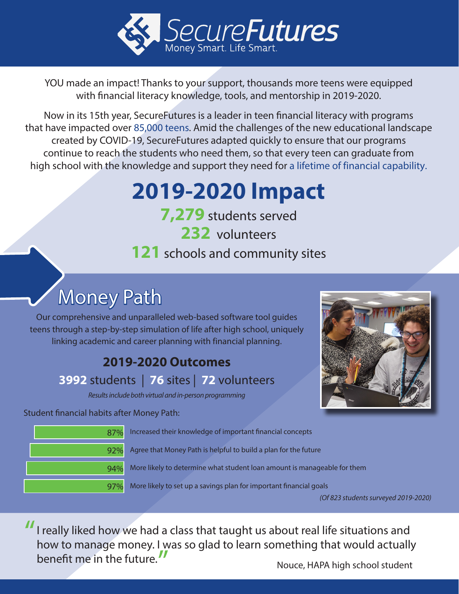

YOU made an impact! Thanks to your support, thousands more teens were equipped with financial literacy knowledge, tools, and mentorship in 2019-2020.

Now in its 15th year, SecureFutures is a leader in teen financial literacy with programs that have impacted over 85,000 teens. Amid the challenges of the new educational landscape created by COVID-19, SecureFutures adapted quickly to ensure that our programs continue to reach the students who need them, so that every teen can graduate from high school with the knowledge and support they need for a lifetime of financial capability.

# **2019-2020 Impact**

**7,279** students served **232** volunteers **121** schools and community sites

## Money Path

Our comprehensive and unparalleled web-based software tool guides teens through a step-by-step simulation of life after high school, uniquely linking academic and career planning with financial planning.

### **2019-2020 Outcomes**

#### **3992** students | **76** sites | **72** volunteers

Results include both virtual and in-person programming

Student financial habits after Money Path:



Increased their knowledge of important financial concepts

Agree that Money Path is helpful to build a plan for the future

More likely to determine what student loan amount is manageable for them

97% More likely to set up a savings plan for important financial goals

(Of 823 students surveyed 2019-2020)

I really liked how we had a class that taught us about real life situations and how to manage money. I was so glad to learn something that would actually benefit me in the future. "

Nouce, HAPA high school student